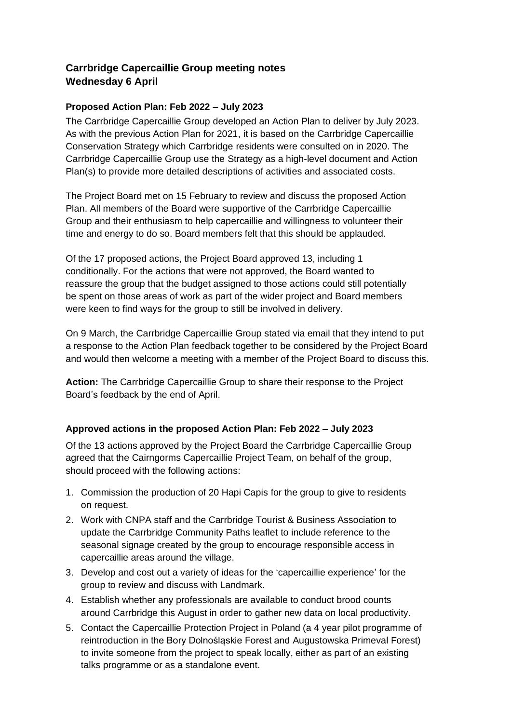# **Carrbridge Capercaillie Group meeting notes Wednesday 6 April**

## **Proposed Action Plan: Feb 2022 – July 2023**

The Carrbridge Capercaillie Group developed an Action Plan to deliver by July 2023. As with the previous Action Plan for 2021, it is based on the Carrbridge Capercaillie Conservation Strategy which Carrbridge residents were consulted on in 2020. The Carrbridge Capercaillie Group use the Strategy as a high-level document and Action Plan(s) to provide more detailed descriptions of activities and associated costs.

The Project Board met on 15 February to review and discuss the proposed Action Plan. All members of the Board were supportive of the Carrbridge Capercaillie Group and their enthusiasm to help capercaillie and willingness to volunteer their time and energy to do so. Board members felt that this should be applauded.

Of the 17 proposed actions, the Project Board approved 13, including 1 conditionally. For the actions that were not approved, the Board wanted to reassure the group that the budget assigned to those actions could still potentially be spent on those areas of work as part of the wider project and Board members were keen to find ways for the group to still be involved in delivery.

On 9 March, the Carrbridge Capercaillie Group stated via email that they intend to put a response to the Action Plan feedback together to be considered by the Project Board and would then welcome a meeting with a member of the Project Board to discuss this.

**Action:** The Carrbridge Capercaillie Group to share their response to the Project Board's feedback by the end of April.

## **Approved actions in the proposed Action Plan: Feb 2022 – July 2023**

Of the 13 actions approved by the Project Board the Carrbridge Capercaillie Group agreed that the Cairngorms Capercaillie Project Team, on behalf of the group, should proceed with the following actions:

- 1. Commission the production of 20 Hapi Capis for the group to give to residents on request.
- 2. Work with CNPA staff and the Carrbridge Tourist & Business Association to update the Carrbridge Community Paths leaflet to include reference to the seasonal signage created by the group to encourage responsible access in capercaillie areas around the village.
- 3. Develop and cost out a variety of ideas for the 'capercaillie experience' for the group to review and discuss with Landmark.
- 4. Establish whether any professionals are available to conduct brood counts around Carrbridge this August in order to gather new data on local productivity.
- 5. Contact the Capercaillie Protection Project in Poland (a 4 year pilot programme of reintroduction in the Bory Dolnośląskie Forest and Augustowska Primeval Forest) to invite someone from the project to speak locally, either as part of an existing talks programme or as a standalone event.